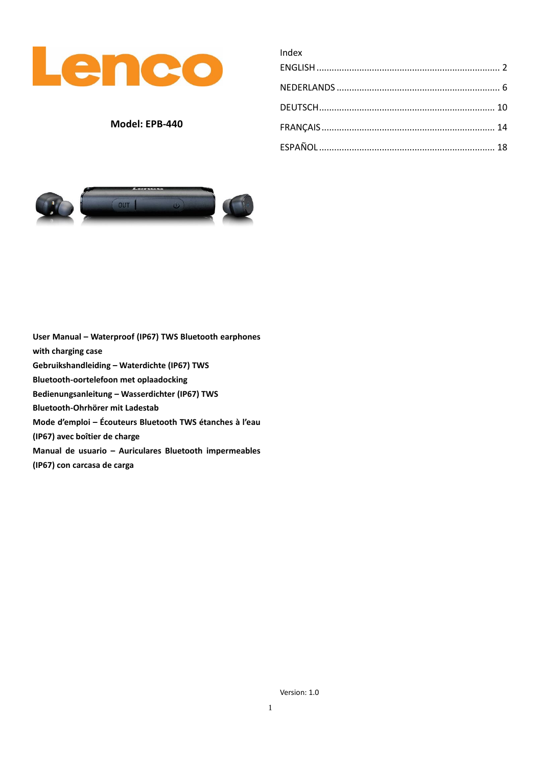

# **Model: EPB-440**

| Index |  |
|-------|--|
|       |  |
|       |  |
|       |  |
|       |  |
|       |  |
|       |  |



**User Manual – Waterproof (IP67) TWS Bluetooth earphones with charging case Gebruikshandleiding – Waterdichte (IP67) TWS Bluetooth-oortelefoon met oplaadocking Bedienungsanleitung – Wasserdichter (IP67) TWS Bluetooth-Ohrhörer mit Ladestab Mode d'emploi – Écouteurs Bluetooth TWS étanches à l'eau (IP67) avec boîtier de charge Manual de usuario – Auriculares Bluetooth impermeables (IP67) con carcasa de carga**

Version: 1.0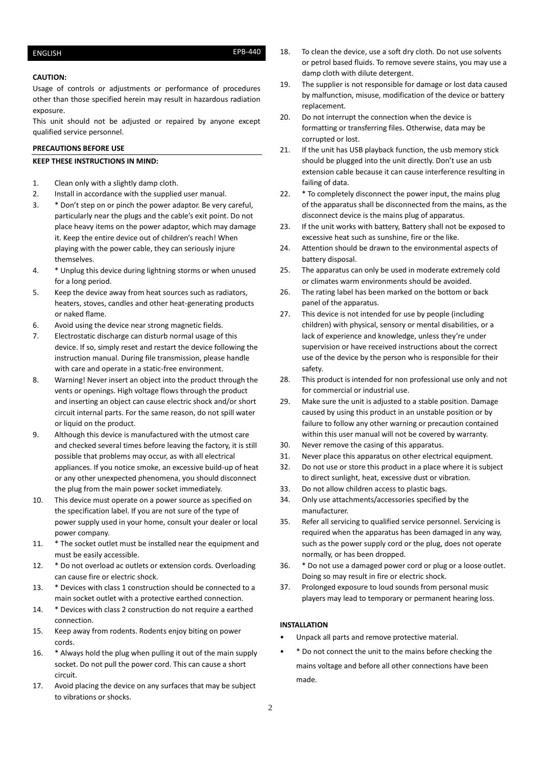# <span id="page-1-0"></span>ENGLISH EPB-440

## **CAUTION:**

Usage of controls or adjustments or performance of procedures other than those specified herein may result in hazardous radiation exposure.

This unit should not be adjusted or repaired by anyone except qualified service personnel.

# **PRECAUTIONS BEFORE USE**

### **KEEP THESE INSTRUCTIONS IN MIND:**

- 1. Clean only with a slightly damp cloth.
- 2. Install in accordance with the supplied user manual.
- 3. \* Don't step on or pinch the power adaptor. Be very careful, particularly near the plugs and the cable's exit point. Do not place heavy items on the power adaptor, which may damage it. Keep the entire device out of children's reach! When playing with the power cable, they can seriously injure themselves.
- 4. \* Unplug this device during lightning storms or when unused for a long period.
- 5. Keep the device away from heat sources such as radiators, heaters, stoves, candles and other heat-generating products or naked flame.
- 6. Avoid using the device near strong magnetic fields.
- 7. Electrostatic discharge can disturb normal usage of this device. If so, simply reset and restart the device following the instruction manual. During file transmission, please handle with care and operate in a static-free environment.
- 8. Warning! Never insert an object into the product through the vents or openings. High voltage flows through the product and inserting an object can cause electric shock and/or short circuit internal parts. For the same reason, do not spill water or liquid on the product.
- 9. Although this device is manufactured with the utmost care and checked several times before leaving the factory, it is still possible that problems may occur, as with all electrical appliances. If you notice smoke, an excessive build-up of heat or any other unexpected phenomena, you should disconnect the plug from the main power socket immediately.
- 10. This device must operate on a power source as specified on the specification label. If you are not sure of the type of power supply used in your home, consult your dealer or local power company.
- 11. \* The socket outlet must be installed near the equipment and must be easily accessible.
- 12. \* Do not overload ac outlets or extension cords. Overloading can cause fire or electric shock.
- 13. \* Devices with class 1 construction should be connected to a main socket outlet with a protective earthed connection.
- 14. \* Devices with class 2 construction do not require a earthed connection.
- 15. Keep away from rodents. Rodents enjoy biting on power cords.
- 16. \* Always hold the plug when pulling it out of the main supply socket. Do not pull the power cord. This can cause a short circuit.
- 17. Avoid placing the device on any surfaces that may be subject to vibrations or shocks.
- 18. To clean the device, use a soft dry cloth. Do not use solvents or petrol based fluids. To remove severe stains, you may use a damp cloth with dilute detergent.
- 19. The supplier is not responsible for damage or lost data caused by malfunction, misuse, modification of the device or battery replacement.
- 20. Do not interrupt the connection when the device is formatting or transferring files. Otherwise, data may be corrupted or lost.
- 21. If the unit has USB playback function, the usb memory stick should be plugged into the unit directly. Don't use an usb extension cable because it can cause interference resulting in failing of data.
- 22. \* To completely disconnect the power input, the mains plug of the apparatus shall be disconnected from the mains, as the disconnect device is the mains plug of apparatus.
- 23. If the unit works with battery, Battery shall not be exposed to excessive heat such as sunshine, fire or the like.
- 24. Attention should be drawn to the environmental aspects of battery disposal.
- 25. The apparatus can only be used in moderate extremely cold or climates warm environments should be avoided.
- 26. The rating label has been marked on the bottom or back panel of the apparatus.
- 27. This device is not intended for use by people (including children) with physical, sensory or mental disabilities, or a lack of experience and knowledge, unless they're under supervision or have received instructions about the correct use of the device by the person who is responsible for their safety.
- 28. This product is intended for non professional use only and not for commercial or industrial use.
- 29. Make sure the unit is adjusted to a stable position. Damage caused by using this product in an unstable position or by failure to follow any other warning or precaution contained within this user manual will not be covered by warranty.
- 30. Never remove the casing of this apparatus.
- 31. Never place this apparatus on other electrical equipment.
- 32. Do not use or store this product in a place where it is subject to direct sunlight, heat, excessive dust or vibration.
- 33. Do not allow children access to plastic bags.
- 34. Only use attachments/accessories specified by the manufacturer.
- 35. Refer all servicing to qualified service personnel. Servicing is required when the apparatus has been damaged in any way, such as the power supply cord or the plug, does not operate normally, or has been dropped.
- 36. \* Do not use a damaged power cord or plug or a loose outlet. Doing so may result in fire or electric shock.
- 37. Prolonged exposure to loud sounds from personal music players may lead to temporary or permanent hearing loss.

# **INSTALLATION**

- Unpack all parts and remove protective material.
- \* Do not connect the unit to the mains before checking the mains voltage and before all other connections have been made.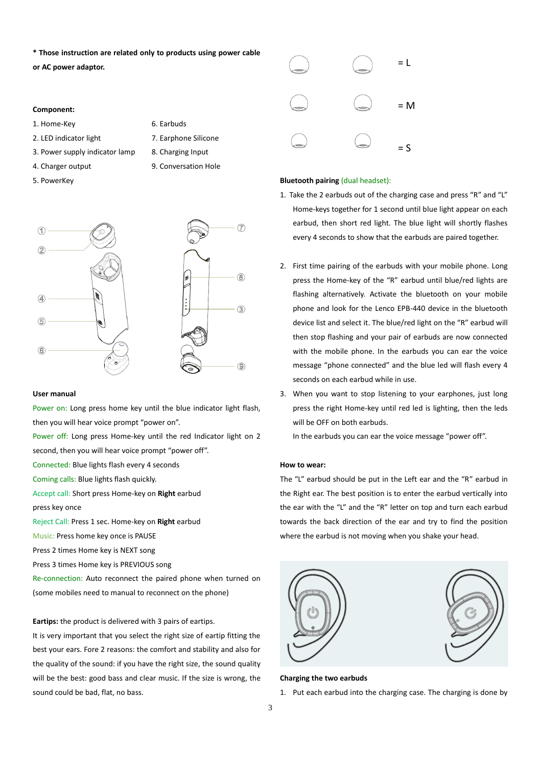**\* Those instruction are related only to products using power cable** 

**or AC power adaptor.** 

### **Component:**

- 1. Home-Key 6. Earbuds
- 2. LED indicator light 7. Earphone Silicone
- 3. Power supply indicator lamp 8. Charging Input
- 4. Charger output 9. Conversation Hole
- 5. PowerKey

- 
- -



## **User manual**

Power on: Long press home key until the blue indicator light flash, then you will hear voice prompt "power on".

Power off: Long press Home-key until the red Indicator light on 2 second, then you will hear voice prompt "power off".

Connected: Blue lights flash every 4 seconds

Coming calls: Blue lights flash quickly.

Accept call: Short press Home-key on **Right** earbud

press key once

Reject Call: Press 1 sec. Home-key on **Right** earbud

Music: Press home key once is PAUSE

Press 2 times Home key is NEXT song

sound could be bad, flat, no bass.

Press 3 times Home key is PREVIOUS song

Re-connection: Auto reconnect the paired phone when turned on (some mobiles need to manual to reconnect on the phone)

**Eartips:** the product is delivered with 3 pairs of eartips. It is very important that you select the right size of eartip fitting the best your ears. Fore 2 reasons: the comfort and stability and also for the quality of the sound: if you have the right size, the sound quality

will be the best: good bass and clear music. If the size is wrong, the



### **Bluetooth pairing** (dual headset):

- 1. Take the 2 earbuds out of the charging case and press "R" and "L" Home-keys together for 1 second until blue light appear on each earbud, then short red light. The blue light will shortly flashes every 4 seconds to show that the earbuds are paired together.
- 2. First time pairing of the earbuds with your mobile phone. Long press the Home-key of the "R" earbud until blue/red lights are flashing alternatively. Activate the bluetooth on your mobile phone and look for the Lenco EPB-440 device in the bluetooth device list and select it. The blue/red light on the "R" earbud will then stop flashing and your pair of earbuds are now connected with the mobile phone. In the earbuds you can ear the voice message "phone connected" and the blue led will flash every 4 seconds on each earbud while in use.
- 3. When you want to stop listening to your earphones, just long press the right Home-key until red led is lighting, then the leds will be OFF on both earbuds.

In the earbuds you can ear the voice message "power off".

# **How to wear:**

The "L" earbud should be put in the Left ear and the "R" earbud in the Right ear. The best position is to enter the earbud vertically into the ear with the "L" and the "R" letter on top and turn each earbud towards the back direction of the ear and try to find the position where the earbud is not moving when you shake your head.



#### **Charging the two earbuds**

1. Put each earbud into the charging case. The charging is done by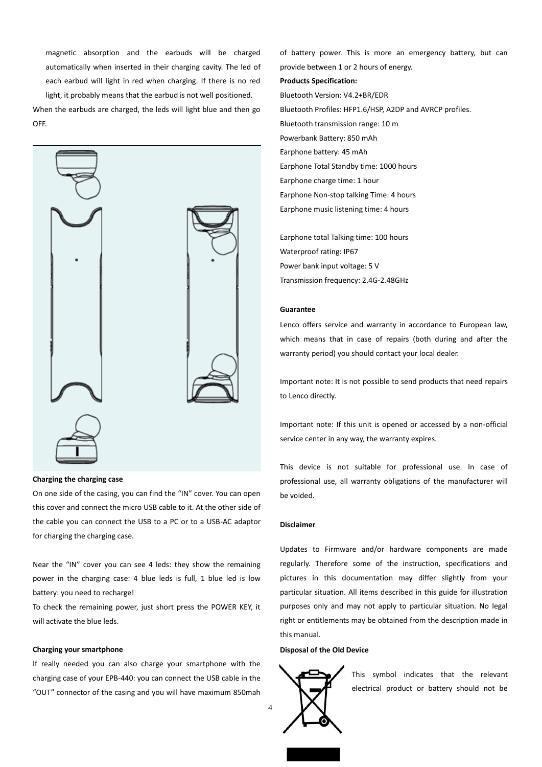magnetic absorption and the earbuds will be charged automatically when inserted in their charging cavity. The led of each earbud will light in red when charging. If there is no red light, it probably means that the earbud is not well positioned.

When the earbuds are charged, the leds will light blue and then go OFF.



## **Charging the charging case**

On one side of the casing, you can find the "IN" cover. You can open this cover and connect the micro USB cable to it. At the other side of the cable you can connect the USB to a PC or to a USB-AC adaptor for charging the charging case.

Near the "IN" cover you can see 4 leds: they show the remaining power in the charging case: 4 blue leds is full, 1 blue led is low battery: you need to recharge!

To check the remaining power, just short press the POWER KEY, it will activate the blue leds.

### **Charging your smartphone**

If really needed you can also charge your smartphone with the charging case of your EPB-440: you can connect the USB cable in the "OUT" connector of the casing and you will have maximum 850mah

of battery power. This is more an emergency battery, but can provide between 1 or 2 hours of energy. **Products Specification:** Bluetooth Version: V4.2+BR/EDR Bluetooth Profiles: HFP1.6/HSP, A2DP and AVRCP profiles. Bluetooth transmission range: 10 m Powerbank Battery: 850 mAh Earphone battery: 45 mAh Earphone Total Standby time: 1000 hours Earphone charge time: 1 hour Earphone Non-stop talking Time: 4 hours Earphone music listening time: 4 hours

Earphone total Talking time: 100 hours Waterproof rating: IP67 Power bank input voltage: 5 V Transmission frequency: 2.4G-2.48GHz

#### **Guarantee**

Lenco offers service and warranty in accordance to European law, which means that in case of repairs (both during and after the warranty period) you should contact your local dealer.

Important note: It is not possible to send products that need repairs to Lenco directly.

Important note: If this unit is opened or accessed by a non-official service center in any way, the warranty expires.

This device is not suitable for professional use. In case of professional use, all warranty obligations of the manufacturer will be voided.

## **Disclaimer**

Updates to Firmware and/or hardware components are made regularly. Therefore some of the instruction, specifications and pictures in this documentation may differ slightly from your particular situation. All items described in this guide for illustration purposes only and may not apply to particular situation. No legal right or entitlements may be obtained from the description made in this manual.

# **Disposal of the Old Device**



This symbol indicates that the relevant electrical product or battery should not be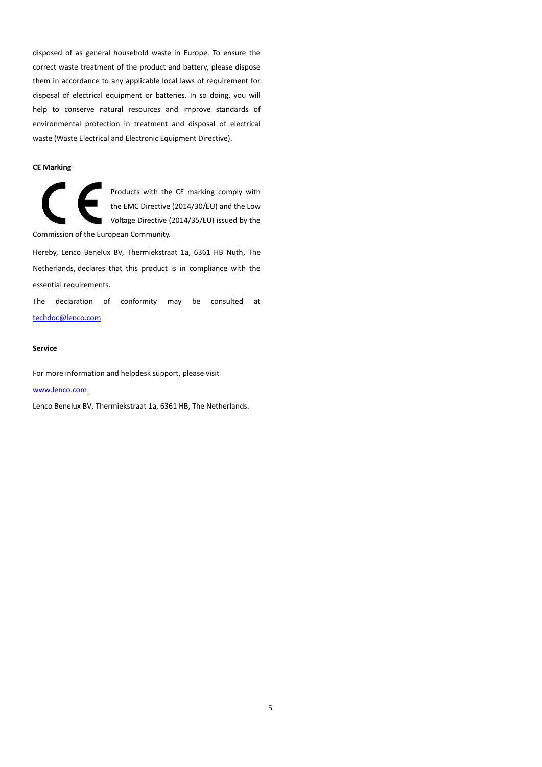disposed of as general household waste in Europe. To ensure the correct waste treatment of the product and battery, please dispose them in accordance to any applicable local laws of requirement for disposal of electrical equipment or batteries. In so doing, you will help to conserve natural resources and improve standards of environmental protection in treatment and disposal of electrical waste (Waste Electrical and Electronic Equipment Directive).

# **CE Marking**

Products with the CE marking comply with the EMC Directive (2014/30/EU) and the Low Voltage Directive (2014/35/EU) issued by the Commission of the European Community.

Hereby, Lenco Benelux BV, Thermiekstraat 1a, 6361 HB Nuth, The Netherlands, declares that this product is in compliance with the essential requirements.

The declaration of conformity may be consulted at [techdoc@lenco.com](mailto:techdoc@lenco.com)

### **Service**

For more information and helpdesk support, please visit

### [www.lenco.com](http://www.lenco.com/)

Lenco Benelux BV, Thermiekstraat 1a, 6361 HB, The Netherlands.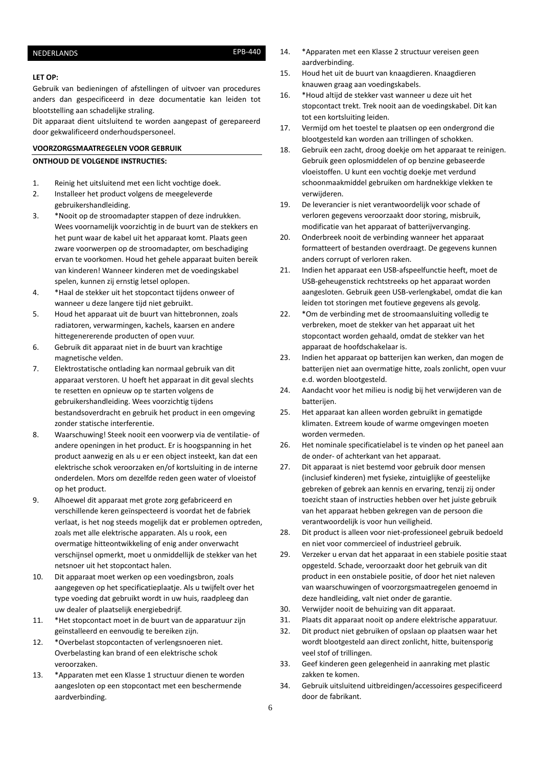# <span id="page-5-0"></span>NEDERLANDS EPB-440

### **LET OP:**

Gebruik van bedieningen of afstellingen of uitvoer van procedures anders dan gespecificeerd in deze documentatie kan leiden tot blootstelling aan schadelijke straling.

Dit apparaat dient uitsluitend te worden aangepast of gerepareerd door gekwalificeerd onderhoudspersoneel.

## **VOORZORGSMAATREGELEN VOOR GEBRUIK**

### **ONTHOUD DE VOLGENDE INSTRUCTIES:**

- 1. Reinig het uitsluitend met een licht vochtige doek.
- 2. Installeer het product volgens de meegeleverde gebruikershandleiding.
- 3. \*Nooit op de stroomadapter stappen of deze indrukken. Wees voornamelijk voorzichtig in de buurt van de stekkers en het punt waar de kabel uit het apparaat komt. Plaats geen zware voorwerpen op de stroomadapter, om beschadiging ervan te voorkomen. Houd het gehele apparaat buiten bereik van kinderen! Wanneer kinderen met de voedingskabel spelen, kunnen zij ernstig letsel oplopen.
- 4. \*Haal de stekker uit het stopcontact tijdens onweer of wanneer u deze langere tijd niet gebruikt.
- 5. Houd het apparaat uit de buurt van hittebronnen, zoals radiatoren, verwarmingen, kachels, kaarsen en andere hittegenererende producten of open vuur.
- 6. Gebruik dit apparaat niet in de buurt van krachtige magnetische velden.
- 7. Elektrostatische ontlading kan normaal gebruik van dit apparaat verstoren. U hoeft het apparaat in dit geval slechts te resetten en opnieuw op te starten volgens de gebruikershandleiding. Wees voorzichtig tijdens bestandsoverdracht en gebruik het product in een omgeving zonder statische interferentie.
- 8. Waarschuwing! Steek nooit een voorwerp via de ventilatie- of andere openingen in het product. Er is hoogspanning in het product aanwezig en als u er een object insteekt, kan dat een elektrische schok veroorzaken en/of kortsluiting in de interne onderdelen. Mors om dezelfde reden geen water of vloeistof op het product.
- 9. Alhoewel dit apparaat met grote zorg gefabriceerd en verschillende keren geïnspecteerd is voordat het de fabriek verlaat, is het nog steeds mogelijk dat er problemen optreden, zoals met alle elektrische apparaten. Als u rook, een overmatige hitteontwikkeling of enig ander onverwacht verschijnsel opmerkt, moet u onmiddellijk de stekker van het netsnoer uit het stopcontact halen.
- 10. Dit apparaat moet werken op een voedingsbron, zoals aangegeven op het specificatieplaatje. Als u twijfelt over het type voeding dat gebruikt wordt in uw huis, raadpleeg dan uw dealer of plaatselijk energiebedrijf.
- 11. \*Het stopcontact moet in de buurt van de apparatuur zijn geïnstalleerd en eenvoudig te bereiken zijn.
- 12. \*Overbelast stopcontacten of verlengsnoeren niet. Overbelasting kan brand of een elektrische schok veroorzaken.
- 13. \*Apparaten met een Klasse 1 structuur dienen te worden aangesloten op een stopcontact met een beschermende aardverbinding.
- 14. \*Apparaten met een Klasse 2 structuur vereisen geen aardverbinding.
- 15. Houd het uit de buurt van knaagdieren. Knaagdieren knauwen graag aan voedingskabels.
- 16. \*Houd altijd de stekker vast wanneer u deze uit het stopcontact trekt. Trek nooit aan de voedingskabel. Dit kan tot een kortsluiting leiden.
- 17. Vermijd om het toestel te plaatsen op een ondergrond die blootgesteld kan worden aan trillingen of schokken.
- 18. Gebruik een zacht, droog doekje om het apparaat te reinigen. Gebruik geen oplosmiddelen of op benzine gebaseerde vloeistoffen. U kunt een vochtig doekje met verdund schoonmaakmiddel gebruiken om hardnekkige vlekken te verwijderen.
- 19. De leverancier is niet verantwoordelijk voor schade of verloren gegevens veroorzaakt door storing, misbruik, modificatie van het apparaat of batterijvervanging.
- 20. Onderbreek nooit de verbinding wanneer het apparaat formatteert of bestanden overdraagt. De gegevens kunnen anders corrupt of verloren raken.
- 21. Indien het apparaat een USB-afspeelfunctie heeft, moet de USB-geheugenstick rechtstreeks op het apparaat worden aangesloten. Gebruik geen USB-verlengkabel, omdat die kan leiden tot storingen met foutieve gegevens als gevolg.
- 22. \*Om de verbinding met de stroomaansluiting volledig te verbreken, moet de stekker van het apparaat uit het stopcontact worden gehaald, omdat de stekker van het apparaat de hoofdschakelaar is.
- 23. Indien het apparaat op batterijen kan werken, dan mogen de batterijen niet aan overmatige hitte, zoals zonlicht, open vuur e.d. worden blootgesteld.
- 24. Aandacht voor het milieu is nodig bij het verwijderen van de batterijen.
- 25. Het apparaat kan alleen worden gebruikt in gematigde klimaten. Extreem koude of warme omgevingen moeten worden vermeden.
- 26. Het nominale specificatielabel is te vinden op het paneel aan de onder- of achterkant van het apparaat.
- 27. Dit apparaat is niet bestemd voor gebruik door mensen (inclusief kinderen) met fysieke, zintuiglijke of geestelijke gebreken of gebrek aan kennis en ervaring, tenzij zij onder toezicht staan of instructies hebben over het juiste gebruik van het apparaat hebben gekregen van de persoon die verantwoordelijk is voor hun veiligheid.
- 28. Dit product is alleen voor niet-professioneel gebruik bedoeld en niet voor commercieel of industrieel gebruik.
- 29. Verzeker u ervan dat het apparaat in een stabiele positie staat opgesteld. Schade, veroorzaakt door het gebruik van dit product in een onstabiele positie, of door het niet naleven van waarschuwingen of voorzorgsmaatregelen genoemd in deze handleiding, valt niet onder de garantie.
- 30. Verwijder nooit de behuizing van dit apparaat.
- 31. Plaats dit apparaat nooit op andere elektrische apparatuur.
- 32. Dit product niet gebruiken of opslaan op plaatsen waar het wordt blootgesteld aan direct zonlicht, hitte, buitensporig veel stof of trillingen.
- 33. Geef kinderen geen gelegenheid in aanraking met plastic zakken te komen.
- 34. Gebruik uitsluitend uitbreidingen/accessoires gespecificeerd door de fabrikant.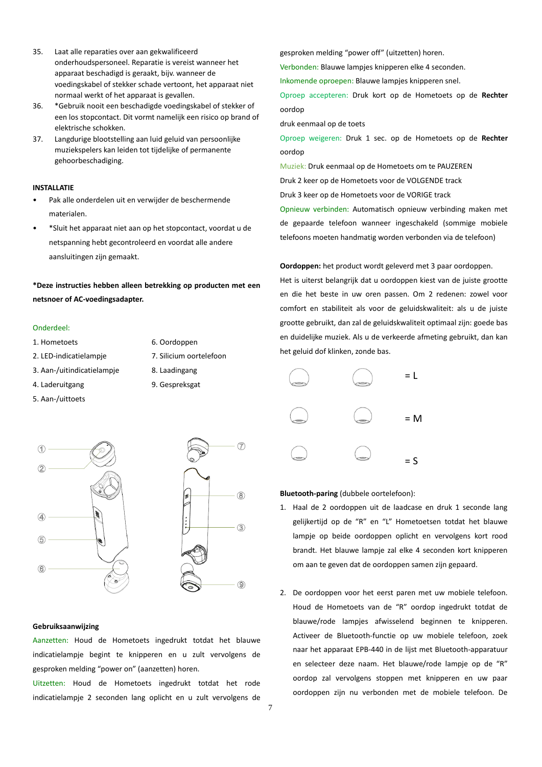- 35. Laat alle reparaties over aan gekwalificeerd onderhoudspersoneel. Reparatie is vereist wanneer het apparaat beschadigd is geraakt, bijv. wanneer de voedingskabel of stekker schade vertoont, het apparaat niet normaal werkt of het apparaat is gevallen.
- 36. \*Gebruik nooit een beschadigde voedingskabel of stekker of een los stopcontact. Dit vormt namelijk een risico op brand of elektrische schokken.
- 37. Langdurige blootstelling aan luid geluid van persoonlijke muziekspelers kan leiden tot tijdelijke of permanente gehoorbeschadiging.

# **INSTALLATIE**

- Pak alle onderdelen uit en verwijder de beschermende materialen.
- \*Sluit het apparaat niet aan op het stopcontact, voordat u de netspanning hebt gecontroleerd en voordat alle andere aansluitingen zijn gemaakt.

# **\*Deze instructies hebben alleen betrekking op producten met een netsnoer of AC-voedingsadapter.**

## Onderdeel:

- 1. Hometoets 6. Oordoppen
- 2. LED-indicatielampje 7. Silicium oortelefoon
	-
- 3. Aan-/uitindicatielampje 8. Laadingang
- 
- 5. Aan-/uittoets
- 
- 
- 
- 4. Laderuitgang 9. Gespreksgat



# **Gebruiksaanwijzing**

Aanzetten: Houd de Hometoets ingedrukt totdat het blauwe indicatielampje begint te knipperen en u zult vervolgens de gesproken melding "power on" (aanzetten) horen.

Uitzetten: Houd de Hometoets ingedrukt totdat het rode indicatielampje 2 seconden lang oplicht en u zult vervolgens de gesproken melding "power off" (uitzetten) horen.

Verbonden: Blauwe lampjes knipperen elke 4 seconden.

Inkomende oproepen: Blauwe lampjes knipperen snel.

Oproep accepteren: Druk kort op de Hometoets op de **Rechter** oordop

druk eenmaal op de toets

Oproep weigeren: Druk 1 sec. op de Hometoets op de **Rechter** oordop

Muziek: Druk eenmaal op de Hometoets om te PAUZEREN

Druk 2 keer op de Hometoets voor de VOLGENDE track

Druk 3 keer op de Hometoets voor de VORIGE track

Opnieuw verbinden: Automatisch opnieuw verbinding maken met de gepaarde telefoon wanneer ingeschakeld (sommige mobiele telefoons moeten handmatig worden verbonden via de telefoon)

**Oordoppen:** het product wordt geleverd met 3 paar oordoppen.

Het is uiterst belangrijk dat u oordoppen kiest van de juiste grootte en die het beste in uw oren passen. Om 2 redenen: zowel voor comfort en stabiliteit als voor de geluidskwaliteit: als u de juiste grootte gebruikt, dan zal de geluidskwaliteit optimaal zijn: goede bas en duidelijke muziek. Als u de verkeerde afmeting gebruikt, dan kan het geluid dof klinken, zonde bas.



### **Bluetooth-paring** (dubbele oortelefoon):

- 1. Haal de 2 oordoppen uit de laadcase en druk 1 seconde lang gelijkertijd op de "R" en "L" Hometoetsen totdat het blauwe lampje op beide oordoppen oplicht en vervolgens kort rood brandt. Het blauwe lampje zal elke 4 seconden kort knipperen om aan te geven dat de oordoppen samen zijn gepaard.
- 2. De oordoppen voor het eerst paren met uw mobiele telefoon. Houd de Hometoets van de "R" oordop ingedrukt totdat de blauwe/rode lampjes afwisselend beginnen te knipperen. Activeer de Bluetooth-functie op uw mobiele telefoon, zoek naar het apparaat EPB-440 in de lijst met Bluetooth-apparatuur en selecteer deze naam. Het blauwe/rode lampje op de "R" oordop zal vervolgens stoppen met knipperen en uw paar oordoppen zijn nu verbonden met de mobiele telefoon. De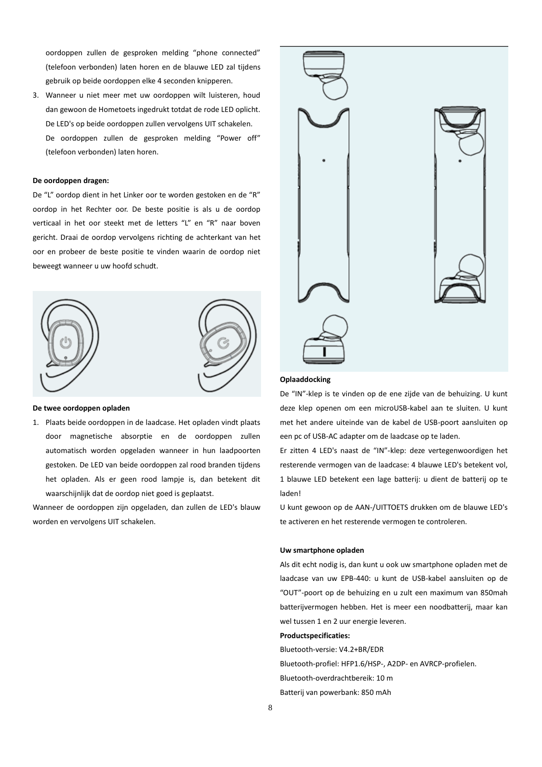oordoppen zullen de gesproken melding "phone connected" (telefoon verbonden) laten horen en de blauwe LED zal tijdens gebruik op beide oordoppen elke 4 seconden knipperen.

3. Wanneer u niet meer met uw oordoppen wilt luisteren, houd dan gewoon de Hometoets ingedrukt totdat de rode LED oplicht. De LED's op beide oordoppen zullen vervolgens UIT schakelen. De oordoppen zullen de gesproken melding "Power off" (telefoon verbonden) laten horen.

#### **De oordoppen dragen:**

De "L" oordop dient in het Linker oor te worden gestoken en de "R" oordop in het Rechter oor. De beste positie is als u de oordop verticaal in het oor steekt met de letters "L" en "R" naar boven gericht. Draai de oordop vervolgens richting de achterkant van het oor en probeer de beste positie te vinden waarin de oordop niet beweegt wanneer u uw hoofd schudt.





### **De twee oordoppen opladen**

1. Plaats beide oordoppen in de laadcase. Het opladen vindt plaats door magnetische absorptie en de oordoppen zullen automatisch worden opgeladen wanneer in hun laadpoorten gestoken. De LED van beide oordoppen zal rood branden tijdens het opladen. Als er geen rood lampje is, dan betekent dit waarschijnlijk dat de oordop niet goed is geplaatst.

Wanneer de oordoppen zijn opgeladen, dan zullen de LED's blauw worden en vervolgens UIT schakelen.



### **Oplaaddocking**

De "IN"-klep is te vinden op de ene zijde van de behuizing. U kunt deze klep openen om een microUSB-kabel aan te sluiten. U kunt met het andere uiteinde van de kabel de USB-poort aansluiten op een pc of USB-AC adapter om de laadcase op te laden.

Er zitten 4 LED's naast de "IN"-klep: deze vertegenwoordigen het resterende vermogen van de laadcase: 4 blauwe LED's betekent vol, 1 blauwe LED betekent een lage batterij: u dient de batterij op te laden!

U kunt gewoon op de AAN-/UITTOETS drukken om de blauwe LED's te activeren en het resterende vermogen te controleren.

#### **Uw smartphone opladen**

Als dit echt nodig is, dan kunt u ook uw smartphone opladen met de laadcase van uw EPB-440: u kunt de USB-kabel aansluiten op de "OUT"-poort op de behuizing en u zult een maximum van 850mah batterijvermogen hebben. Het is meer een noodbatterij, maar kan wel tussen 1 en 2 uur energie leveren.

#### **Productspecificaties:**

Bluetooth-versie: V4.2+BR/EDR Bluetooth-profiel: HFP1.6/HSP-, A2DP- en AVRCP-profielen. Bluetooth-overdrachtbereik: 10 m Batterij van powerbank: 850 mAh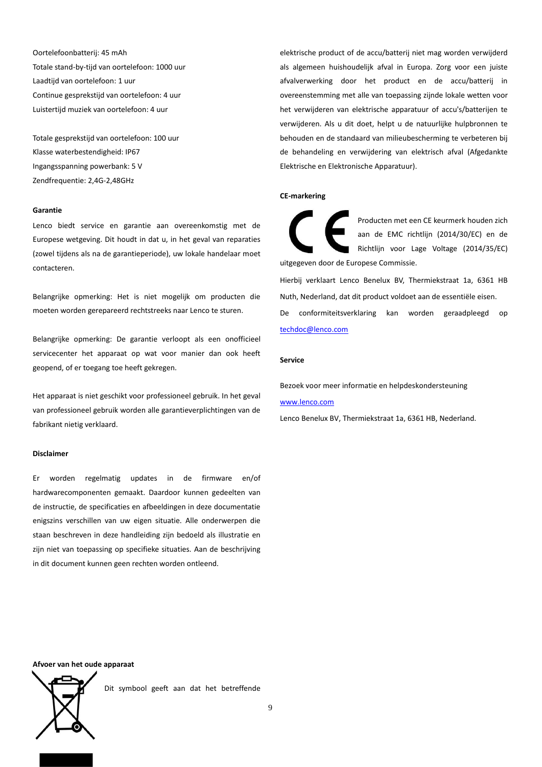Oortelefoonbatterij: 45 mAh Totale stand-by-tijd van oortelefoon: 1000 uur Laadtijd van oortelefoon: 1 uur Continue gesprekstijd van oortelefoon: 4 uur Luistertijd muziek van oortelefoon: 4 uur

Totale gesprekstijd van oortelefoon: 100 uur Klasse waterbestendigheid: IP67 Ingangsspanning powerbank: 5 V Zendfrequentie: 2,4G-2,48GHz

#### **Garantie**

Lenco biedt service en garantie aan overeenkomstig met de Europese wetgeving. Dit houdt in dat u, in het geval van reparaties (zowel tijdens als na de garantieperiode), uw lokale handelaar moet contacteren.

Belangrijke opmerking: Het is niet mogelijk om producten die moeten worden gerepareerd rechtstreeks naar Lenco te sturen.

Belangrijke opmerking: De garantie verloopt als een onofficieel servicecenter het apparaat op wat voor manier dan ook heeft geopend, of er toegang toe heeft gekregen.

Het apparaat is niet geschikt voor professioneel gebruik. In het geval van professioneel gebruik worden alle garantieverplichtingen van de fabrikant nietig verklaard.

#### **Disclaimer**

Er worden regelmatig updates in de firmware en/of hardwarecomponenten gemaakt. Daardoor kunnen gedeelten van de instructie, de specificaties en afbeeldingen in deze documentatie enigszins verschillen van uw eigen situatie. Alle onderwerpen die staan beschreven in deze handleiding zijn bedoeld als illustratie en zijn niet van toepassing op specifieke situaties. Aan de beschrijving in dit document kunnen geen rechten worden ontleend.

elektrische product of de accu/batterij niet mag worden verwijderd als algemeen huishoudelijk afval in Europa. Zorg voor een juiste afvalverwerking door het product en de accu/batterij in overeenstemming met alle van toepassing zijnde lokale wetten voor het verwijderen van elektrische apparatuur of accu's/batterijen te verwijderen. Als u dit doet, helpt u de natuurlijke hulpbronnen te behouden en de standaard van milieubescherming te verbeteren bij de behandeling en verwijdering van elektrisch afval (Afgedankte Elektrische en Elektronische Apparatuur).

## **CE-markering**

Producten met een CE keurmerk houden zich aan de EMC richtlijn (2014/30/EC) en de Richtlijn voor Lage Voltage (2014/35/EC) uitgegeven door de Europese Commissie. Hierbij verklaart Lenco Benelux BV, Thermiekstraat 1a, 6361 HB

Nuth, Nederland, dat dit product voldoet aan de essentiële eisen. De conformiteitsverklaring kan worden geraadpleegd o[p](mailto:techdoc@lenco.com) [techdoc@lenco.com](mailto:techdoc@lenco.com)

### **Service**

Bezoek voor meer informatie en helpdeskondersteuning

# [www.lenco.com](http://www.lenco.com/)

Lenco Benelux BV, Thermiekstraat 1a, 6361 HB, Nederland.

### **Afvoer van het oude apparaat**

Dit symbool geeft aan dat het betreffende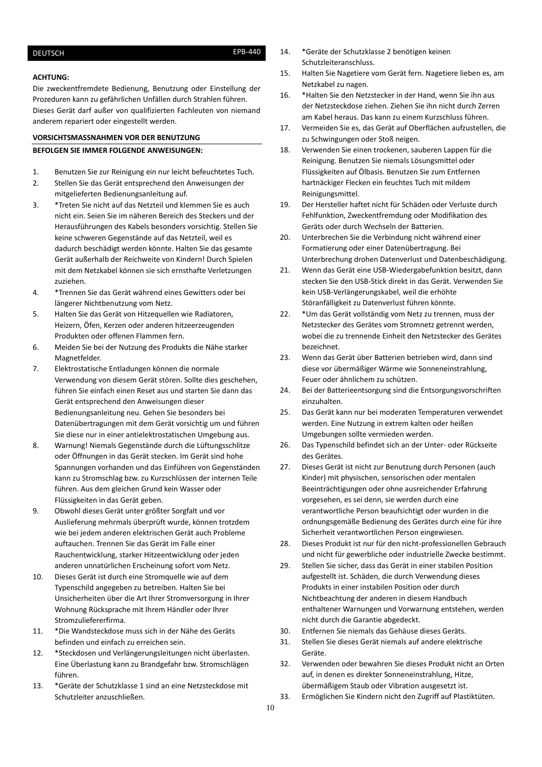### <span id="page-9-0"></span>**ACHTUNG:**

Die zweckentfremdete Bedienung, Benutzung oder Einstellung der Prozeduren kann zu gefährlichen Unfällen durch Strahlen führen. Dieses Gerät darf außer von qualifizierten Fachleuten von niemand anderem repariert oder eingestellt werden.

# **VORSICHTSMASSNAHMEN VOR DER BENUTZUNG**

# **BEFOLGEN SIE IMMER FOLGENDE ANWEISUNGEN:**

- 1. Benutzen Sie zur Reinigung ein nur leicht befeuchtetes Tuch.
- 2. Stellen Sie das Gerät entsprechend den Anweisungen der mitgelieferten Bedienungsanleitung auf.
- 3. \*Treten Sie nicht auf das Netzteil und klemmen Sie es auch nicht ein. Seien Sie im näheren Bereich des Steckers und der Herausführungen des Kabels besonders vorsichtig. Stellen Sie keine schweren Gegenstände auf das Netzteil, weil es dadurch beschädigt werden könnte. Halten Sie das gesamte Gerät außerhalb der Reichweite von Kindern! Durch Spielen mit dem Netzkabel können sie sich ernsthafte Verletzungen zuziehen.
- 4. \*Trennen Sie das Gerät während eines Gewitters oder bei längerer Nichtbenutzung vom Netz.
- 5. Halten Sie das Gerät von Hitzequellen wie Radiatoren, Heizern, Öfen, Kerzen oder anderen hitzeerzeugenden Produkten oder offenen Flammen fern.
- 6. Meiden Sie bei der Nutzung des Produkts die Nähe starker Magnetfelder.
- 7. Elektrostatische Entladungen können die normale Verwendung von diesem Gerät stören. Sollte dies geschehen, führen Sie einfach einen Reset aus und starten Sie dann das Gerät entsprechend den Anweisungen dieser Bedienungsanleitung neu. Gehen Sie besonders bei Datenübertragungen mit dem Gerät vorsichtig um und führen Sie diese nur in einer antielektrostatischen Umgebung aus.
- 8. Warnung! Niemals Gegenstände durch die Lüftungsschlitze oder Öffnungen in das Gerät stecken. Im Gerät sind hohe Spannungen vorhanden und das Einführen von Gegenständen kann zu Stromschlag bzw. zu Kurzschlüssen der internen Teile führen. Aus dem gleichen Grund kein Wasser oder Flüssigkeiten in das Gerät geben.
- 9. Obwohl dieses Gerät unter größter Sorgfalt und vor Auslieferung mehrmals überprüft wurde, können trotzdem wie bei jedem anderen elektrischen Gerät auch Probleme auftauchen. Trennen Sie das Gerät im Falle einer Rauchentwicklung, starker Hitzeentwicklung oder jeden anderen unnatürlichen Erscheinung sofort vom Netz.
- 10. Dieses Gerät ist durch eine Stromquelle wie auf dem Typenschild angegeben zu betreiben. Halten Sie bei Unsicherheiten über die Art Ihrer Stromversorgung in Ihrer Wohnung Rücksprache mit Ihrem Händler oder Ihrer Stromzuliefererfirma.
- 11. \*Die Wandsteckdose muss sich in der Nähe des Geräts befinden und einfach zu erreichen sein.
- 12. \*Steckdosen und Verlängerungsleitungen nicht überlasten. Eine Überlastung kann zu Brandgefahr bzw. Stromschlägen führen.
- 13. \*Geräte der Schutzklasse 1 sind an eine Netzsteckdose mit Schutzleiter anzuschließen.
- 14. \*Geräte der Schutzklasse 2 benötigen keinen Schutzleiteranschluss.
- 15. Halten Sie Nagetiere vom Gerät fern. Nagetiere lieben es, am Netzkabel zu nagen.
- 16. \*Halten Sie den Netzstecker in der Hand, wenn Sie ihn aus der Netzsteckdose ziehen. Ziehen Sie ihn nicht durch Zerren am Kabel heraus. Das kann zu einem Kurzschluss führen.
- 17. Vermeiden Sie es, das Gerät auf Oberflächen aufzustellen, die zu Schwingungen oder Stoß neigen.
- 18. Verwenden Sie einen trockenen, sauberen Lappen für die Reinigung. Benutzen Sie niemals Lösungsmittel oder Flüssigkeiten auf Ölbasis. Benutzen Sie zum Entfernen hartnäckiger Flecken ein feuchtes Tuch mit mildem Reinigungsmittel.
- 19. Der Hersteller haftet nicht für Schäden oder Verluste durch Fehlfunktion, Zweckentfremdung oder Modifikation des Geräts oder durch Wechseln der Batterien.
- 20. Unterbrechen Sie die Verbindung nicht während einer Formatierung oder einer Datenübertragung. Bei Unterbrechung drohen Datenverlust und Datenbeschädigung.
- 21. Wenn das Gerät eine USB-Wiedergabefunktion besitzt, dann stecken Sie den USB-Stick direkt in das Gerät. Verwenden Sie kein USB-Verlängerungskabel, weil die erhöhte Störanfälligkeit zu Datenverlust führen könnte.
- 22. \*Um das Gerät vollständig vom Netz zu trennen, muss der Netzstecker des Gerätes vom Stromnetz getrennt werden, wobei die zu trennende Einheit den Netzstecker des Gerätes bezeichnet.
- 23. Wenn das Gerät über Batterien betrieben wird, dann sind diese vor übermäßiger Wärme wie Sonneneinstrahlung, Feuer oder ähnlichem zu schützen.
- 24. Bei der Batterieentsorgung sind die Entsorgungsvorschriften einzuhalten.
- 25. Das Gerät kann nur bei moderaten Temperaturen verwendet werden. Eine Nutzung in extrem kalten oder heißen Umgebungen sollte vermieden werden.
- 26. Das Typenschild befindet sich an der Unter- oder Rückseite des Gerätes.
- 27. Dieses Gerät ist nicht zur Benutzung durch Personen (auch Kinder) mit physischen, sensorischen oder mentalen Beeinträchtigungen oder ohne ausreichender Erfahrung vorgesehen, es sei denn, sie werden durch eine verantwortliche Person beaufsichtigt oder wurden in die ordnungsgemäße Bedienung des Gerätes durch eine für ihre Sicherheit verantwortlichen Person eingewiesen.
- 28. Dieses Produkt ist nur für den nicht-professionellen Gebrauch und nicht für gewerbliche oder industrielle Zwecke bestimmt.
- 29. Stellen Sie sicher, dass das Gerät in einer stabilen Position aufgestellt ist. Schäden, die durch Verwendung dieses Produkts in einer instabilen Position oder durch Nichtbeachtung der anderen in diesem Handbuch enthaltener Warnungen und Vorwarnung entstehen, werden nicht durch die Garantie abgedeckt.
- 30. Entfernen Sie niemals das Gehäuse dieses Geräts.
- 31. Stellen Sie dieses Gerät niemals auf andere elektrische Geräte.
- 32. Verwenden oder bewahren Sie dieses Produkt nicht an Orten auf, in denen es direkter Sonneneinstrahlung, Hitze, übermäßigem Staub oder Vibration ausgesetzt ist.
- 33. Ermöglichen Sie Kindern nicht den Zugriff auf Plastiktüten.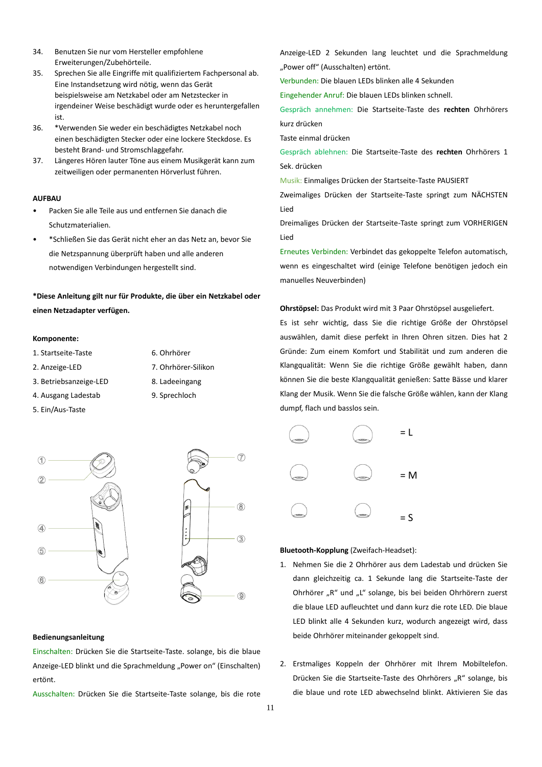- 34. Benutzen Sie nur vom Hersteller empfohlene Erweiterungen/Zubehörteile.
- 35. Sprechen Sie alle Eingriffe mit qualifiziertem Fachpersonal ab. Eine Instandsetzung wird nötig, wenn das Gerät beispielsweise am Netzkabel oder am Netzstecker in irgendeiner Weise beschädigt wurde oder es heruntergefallen ist.
- 36. \*Verwenden Sie weder ein beschädigtes Netzkabel noch einen beschädigten Stecker oder eine lockere Steckdose. Es besteht Brand- und Stromschlaggefahr.
- 37. Längeres Hören lauter Töne aus einem Musikgerät kann zum zeitweiligen oder permanenten Hörverlust führen.

#### **AUFBAU**

- Packen Sie alle Teile aus und entfernen Sie danach die Schutzmaterialien.
- \*Schließen Sie das Gerät nicht eher an das Netz an, bevor Sie die Netzspannung überprüft haben und alle anderen notwendigen Verbindungen hergestellt sind.

# **\*Diese Anleitung gilt nur für Produkte, die über ein Netzkabel oder einen Netzadapter verfügen.**

#### **Komponente:**

- 1. Startseite-Taste 6. Ohrhörer
- 2. Anzeige-LED 7. Ohrhörer-Silikon
- 3. Betriebsanzeige-LED 8. Ladeeingang
- 4. Ausgang Ladestab 9. Sprechloch
- 5. Ein/Aus-Taste





## **Bedienungsanleitung**

Einschalten: Drücken Sie die Startseite-Taste. solange, bis die blaue Anzeige-LED blinkt und die Sprachmeldung "Power on" (Einschalten) ertönt.

Ausschalten: Drücken Sie die Startseite-Taste solange, bis die rote

Anzeige-LED 2 Sekunden lang leuchtet und die Sprachmeldung "Power off" (Ausschalten) ertönt.

Verbunden: Die blauen LEDs blinken alle 4 Sekunden

Eingehender Anruf: Die blauen LEDs blinken schnell.

Gespräch annehmen: Die Startseite-Taste des **rechten** Ohrhörers kurz drücken

Taste einmal drücken

Gespräch ablehnen: Die Startseite-Taste des **rechten** Ohrhörers 1 Sek. drücken

Musik: Einmaliges Drücken der Startseite-Taste PAUSIERT

Zweimaliges Drücken der Startseite-Taste springt zum NÄCHSTEN Lied

Dreimaliges Drücken der Startseite-Taste springt zum VORHERIGEN Lied

Erneutes Verbinden: Verbindet das gekoppelte Telefon automatisch, wenn es eingeschaltet wird (einige Telefone benötigen jedoch ein manuelles Neuverbinden)

**Ohrstöpsel:** Das Produkt wird mit 3 Paar Ohrstöpsel ausgeliefert.

Es ist sehr wichtig, dass Sie die richtige Größe der Ohrstöpsel auswählen, damit diese perfekt in Ihren Ohren sitzen. Dies hat 2 Gründe: Zum einem Komfort und Stabilität und zum anderen die Klangqualität: Wenn Sie die richtige Größe gewählt haben, dann können Sie die beste Klangqualität genießen: Satte Bässe und klarer Klang der Musik. Wenn Sie die falsche Größe wählen, kann der Klang dumpf, flach und basslos sein.



### **Bluetooth-Kopplung** (Zweifach-Headset):

- 1. Nehmen Sie die 2 Ohrhörer aus dem Ladestab und drücken Sie dann gleichzeitig ca. 1 Sekunde lang die Startseite-Taste der Ohrhörer "R" und "L" solange, bis bei beiden Ohrhörern zuerst die blaue LED aufleuchtet und dann kurz die rote LED. Die blaue LED blinkt alle 4 Sekunden kurz, wodurch angezeigt wird, dass beide Ohrhörer miteinander gekoppelt sind.
- 2. Erstmaliges Koppeln der Ohrhörer mit Ihrem Mobiltelefon. Drücken Sie die Startseite-Taste des Ohrhörers "R" solange, bis die blaue und rote LED abwechselnd blinkt. Aktivieren Sie das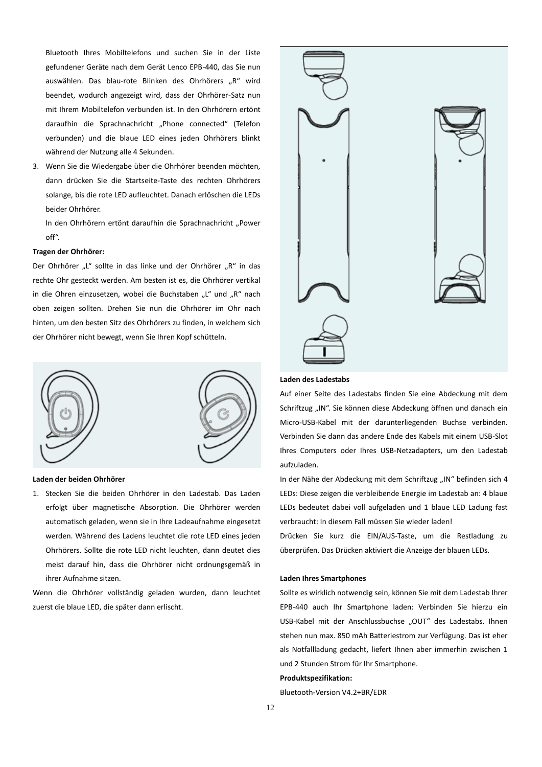Bluetooth Ihres Mobiltelefons und suchen Sie in der Liste gefundener Geräte nach dem Gerät Lenco EPB-440, das Sie nun auswählen. Das blau-rote Blinken des Ohrhörers "R" wird beendet, wodurch angezeigt wird, dass der Ohrhörer-Satz nun mit Ihrem Mobiltelefon verbunden ist. In den Ohrhörern ertönt daraufhin die Sprachnachricht "Phone connected" (Telefon verbunden) und die blaue LED eines jeden Ohrhörers blinkt während der Nutzung alle 4 Sekunden.

3. Wenn Sie die Wiedergabe über die Ohrhörer beenden möchten, dann drücken Sie die Startseite-Taste des rechten Ohrhörers solange, bis die rote LED aufleuchtet. Danach erlöschen die LEDs beider Ohrhörer.

In den Ohrhörern ertönt daraufhin die Sprachnachricht "Power off".

### **Tragen der Ohrhörer:**

Der Ohrhörer "L" sollte in das linke und der Ohrhörer "R" in das rechte Ohr gesteckt werden. Am besten ist es, die Ohrhörer vertikal in die Ohren einzusetzen, wobei die Buchstaben "L" und "R" nach oben zeigen sollten. Drehen Sie nun die Ohrhörer im Ohr nach hinten, um den besten Sitz des Ohrhörers zu finden, in welchem sich der Ohrhörer nicht bewegt, wenn Sie Ihren Kopf schütteln.



#### **Laden der beiden Ohrhörer**

1. Stecken Sie die beiden Ohrhörer in den Ladestab. Das Laden erfolgt über magnetische Absorption. Die Ohrhörer werden automatisch geladen, wenn sie in Ihre Ladeaufnahme eingesetzt werden. Während des Ladens leuchtet die rote LED eines jeden Ohrhörers. Sollte die rote LED nicht leuchten, dann deutet dies meist darauf hin, dass die Ohrhörer nicht ordnungsgemäß in ihrer Aufnahme sitzen.

Wenn die Ohrhörer vollständig geladen wurden, dann leuchtet zuerst die blaue LED, die später dann erlischt.



### **Laden des Ladestabs**

Auf einer Seite des Ladestabs finden Sie eine Abdeckung mit dem Schriftzug "IN". Sie können diese Abdeckung öffnen und danach ein Micro-USB-Kabel mit der darunterliegenden Buchse verbinden. Verbinden Sie dann das andere Ende des Kabels mit einem USB-Slot Ihres Computers oder Ihres USB-Netzadapters, um den Ladestab aufzuladen.

In der Nähe der Abdeckung mit dem Schriftzug "IN" befinden sich 4 LEDs: Diese zeigen die verbleibende Energie im Ladestab an: 4 blaue LEDs bedeutet dabei voll aufgeladen und 1 blaue LED Ladung fast verbraucht: In diesem Fall müssen Sie wieder laden!

Drücken Sie kurz die EIN/AUS-Taste, um die Restladung zu überprüfen. Das Drücken aktiviert die Anzeige der blauen LEDs.

#### **Laden Ihres Smartphones**

Sollte es wirklich notwendig sein, können Sie mit dem Ladestab Ihrer EPB-440 auch Ihr Smartphone laden: Verbinden Sie hierzu ein USB-Kabel mit der Anschlussbuchse "OUT" des Ladestabs. Ihnen stehen nun max. 850 mAh Batteriestrom zur Verfügung. Das ist eher als Notfallladung gedacht, liefert Ihnen aber immerhin zwischen 1 und 2 Stunden Strom für Ihr Smartphone.

### **Produktspezifikation:**

Bluetooth-Version V4.2+BR/EDR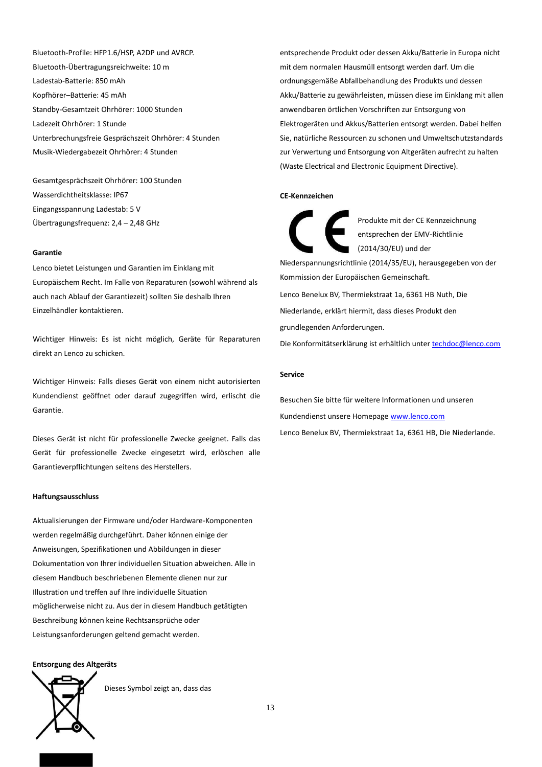Bluetooth-Profile: HFP1.6/HSP, A2DP und AVRCP. Bluetooth-Übertragungsreichweite: 10 m Ladestab-Batterie: 850 mAh Kopfhörer–Batterie: 45 mAh Standby-Gesamtzeit Ohrhörer: 1000 Stunden Ladezeit Ohrhörer: 1 Stunde Unterbrechungsfreie Gesprächszeit Ohrhörer: 4 Stunden Musik-Wiedergabezeit Ohrhörer: 4 Stunden

Gesamtgesprächszeit Ohrhörer: 100 Stunden Wasserdichtheitsklasse: IP67 Eingangsspannung Ladestab: 5 V Übertragungsfrequenz: 2,4 – 2,48 GHz

## **Garantie**

Lenco bietet Leistungen und Garantien im Einklang mit Europäischem Recht. Im Falle von Reparaturen (sowohl während als auch nach Ablauf der Garantiezeit) sollten Sie deshalb Ihren Einzelhändler kontaktieren.

Wichtiger Hinweis: Es ist nicht möglich, Geräte für Reparaturen direkt an Lenco zu schicken.

Wichtiger Hinweis: Falls dieses Gerät von einem nicht autorisierten Kundendienst geöffnet oder darauf zugegriffen wird, erlischt die Garantie.

Dieses Gerät ist nicht für professionelle Zwecke geeignet. Falls das Gerät für professionelle Zwecke eingesetzt wird, erlöschen alle Garantieverpflichtungen seitens des Herstellers.

# **Haftungsausschluss**

Aktualisierungen der Firmware und/oder Hardware-Komponenten werden regelmäßig durchgeführt. Daher können einige der Anweisungen, Spezifikationen und Abbildungen in dieser Dokumentation von Ihrer individuellen Situation abweichen. Alle in diesem Handbuch beschriebenen Elemente dienen nur zur Illustration und treffen auf Ihre individuelle Situation möglicherweise nicht zu. Aus der in diesem Handbuch getätigten Beschreibung können keine Rechtsansprüche oder Leistungsanforderungen geltend gemacht werden.

### **Entsorgung des Altgeräts**



Dieses Symbol zeigt an, dass das

entsprechende Produkt oder dessen Akku/Batterie in Europa nicht mit dem normalen Hausmüll entsorgt werden darf. Um die ordnungsgemäße Abfallbehandlung des Produkts und dessen Akku/Batterie zu gewährleisten, müssen diese im Einklang mit allen anwendbaren örtlichen Vorschriften zur Entsorgung von Elektrogeräten und Akkus/Batterien entsorgt werden. Dabei helfen Sie, natürliche Ressourcen zu schonen und Umweltschutzstandards zur Verwertung und Entsorgung von Altgeräten aufrecht zu halten (Waste Electrical and Electronic Equipment Directive).

### **CE-Kennzeichen**

Produkte mit der CE Kennzeichnung entsprechen der EMV-Richtlinie (2014/30/EU) und der Niederspannungsrichtlinie (2014/35/EU), herausgegeben von der Kommission der Europäischen Gemeinschaft. Lenco Benelux BV, Thermiekstraat 1a, 6361 HB Nuth, Die Niederlande, erklärt hiermit, dass dieses Produkt den grundlegenden Anforderungen.

Die Konformitätserklärung ist erhältlich unter [techdoc@lenco.com](mailto:techdoc@lenco.com)

### **Service**

Besuchen Sie bitte für weitere Informationen und unseren Kundendienst unsere Homepage [www.lenco.com](http://www.lenco.com/) Lenco Benelux BV, Thermiekstraat 1a, 6361 HB, Die Niederlande.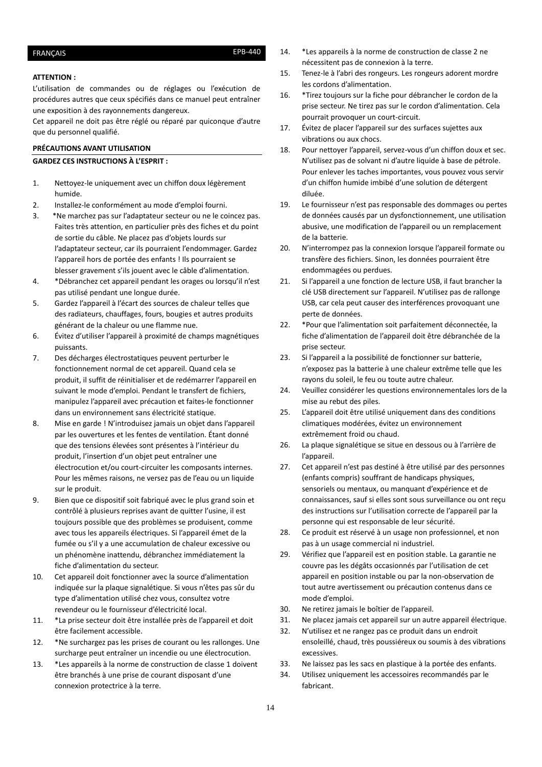# <span id="page-13-0"></span>FRANÇAIS EPB-440

## **ATTENTION :**

L'utilisation de commandes ou de réglages ou l'exécution de procédures autres que ceux spécifiés dans ce manuel peut entraîner une exposition à des rayonnements dangereux.

Cet appareil ne doit pas être réglé ou réparé par quiconque d'autre que du personnel qualifié.

## **PRÉCAUTIONS AVANT UTILISATION**

### **GARDEZ CES INSTRUCTIONS À L'ESPRIT :**

- 1. Nettoyez-le uniquement avec un chiffon doux légèrement humide.
- 2. Installez-le conformément au mode d'emploi fourni.
- 3. \*Ne marchez pas sur l'adaptateur secteur ou ne le coincez pas. Faites très attention, en particulier près des fiches et du point de sortie du câble. Ne placez pas d'objets lourds sur l'adaptateur secteur, car ils pourraient l'endommager. Gardez l'appareil hors de portée des enfants ! Ils pourraient se blesser gravement s'ils jouent avec le câble d'alimentation.
- 4. \*Débranchez cet appareil pendant les orages ou lorsqu'il n'est pas utilisé pendant une longue durée.
- 5. Gardez l'appareil à l'écart des sources de chaleur telles que des radiateurs, chauffages, fours, bougies et autres produits générant de la chaleur ou une flamme nue.
- 6. Évitez d'utiliser l'appareil à proximité de champs magnétiques puissants.
- 7. Des décharges électrostatiques peuvent perturber le fonctionnement normal de cet appareil. Quand cela se produit, il suffit de réinitialiser et de redémarrer l'appareil en suivant le mode d'emploi. Pendant le transfert de fichiers, manipulez l'appareil avec précaution et faites-le fonctionner dans un environnement sans électricité statique.
- 8. Mise en garde ! N'introduisez jamais un objet dans l'appareil par les ouvertures et les fentes de ventilation. Étant donné que des tensions élevées sont présentes à l'intérieur du produit, l'insertion d'un objet peut entraîner une électrocution et/ou court-circuiter les composants internes. Pour les mêmes raisons, ne versez pas de l'eau ou un liquide sur le produit.
- 9. Bien que ce dispositif soit fabriqué avec le plus grand soin et contrôlé à plusieurs reprises avant de quitter l'usine, il est toujours possible que des problèmes se produisent, comme avec tous les appareils électriques. Si l'appareil émet de la fumée ou s'il y a une accumulation de chaleur excessive ou un phénomène inattendu, débranchez immédiatement la fiche d'alimentation du secteur.
- 10. Cet appareil doit fonctionner avec la source d'alimentation indiquée sur la plaque signalétique. Si vous n'êtes pas sûr du type d'alimentation utilisé chez vous, consultez votre revendeur ou le fournisseur d'électricité local.
- 11. \*La prise secteur doit être installée près de l'appareil et doit être facilement accessible.
- 12. \*Ne surchargez pas les prises de courant ou les rallonges. Une surcharge peut entraîner un incendie ou une électrocution.
- 13. \*Les appareils à la norme de construction de classe 1 doivent être branchés à une prise de courant disposant d'une connexion protectrice à la terre.
- 14. \*Les appareils à la norme de construction de classe 2 ne nécessitent pas de connexion à la terre.
- 15. Tenez-le à l'abri des rongeurs. Les rongeurs adorent mordre les cordons d'alimentation.
- 16. \*Tirez toujours sur la fiche pour débrancher le cordon de la prise secteur. Ne tirez pas sur le cordon d'alimentation. Cela pourrait provoquer un court-circuit.
- 17. Évitez de placer l'appareil sur des surfaces sujettes aux vibrations ou aux chocs.
- 18. Pour nettoyer l'appareil, servez-vous d'un chiffon doux et sec. N'utilisez pas de solvant ni d'autre liquide à base de pétrole. Pour enlever les taches importantes, vous pouvez vous servir d'un chiffon humide imbibé d'une solution de détergent diluée.
- 19. Le fournisseur n'est pas responsable des dommages ou pertes de données causés par un dysfonctionnement, une utilisation abusive, une modification de l'appareil ou un remplacement de la batterie.
- 20. N'interrompez pas la connexion lorsque l'appareil formate ou transfère des fichiers. Sinon, les données pourraient être endommagées ou perdues.
- 21. Si l'appareil a une fonction de lecture USB, il faut brancher la clé USB directement sur l'appareil. N'utilisez pas de rallonge USB, car cela peut causer des interférences provoquant une perte de données.
- 22. \*Pour que l'alimentation soit parfaitement déconnectée, la fiche d'alimentation de l'appareil doit être débranchée de la prise secteur.
- 23. Si l'appareil a la possibilité de fonctionner sur batterie, n'exposez pas la batterie à une chaleur extrême telle que les rayons du soleil, le feu ou toute autre chaleur.
- 24. Veuillez considérer les questions environnementales lors de la mise au rebut des piles.
- 25. L'appareil doit être utilisé uniquement dans des conditions climatiques modérées, évitez un environnement extrêmement froid ou chaud.
- 26. La plaque signalétique se situe en dessous ou à l'arrière de l'appareil.
- 27. Cet appareil n'est pas destiné à être utilisé par des personnes (enfants compris) souffrant de handicaps physiques, sensoriels ou mentaux, ou manquant d'expérience et de connaissances, sauf si elles sont sous surveillance ou ont reçu des instructions sur l'utilisation correcte de l'appareil par la personne qui est responsable de leur sécurité.
- 28. Ce produit est réservé à un usage non professionnel, et non pas à un usage commercial ni industriel.
- 29. Vérifiez que l'appareil est en position stable. La garantie ne couvre pas les dégâts occasionnés par l'utilisation de cet appareil en position instable ou par la non-observation de tout autre avertissement ou précaution contenus dans ce mode d'emploi.
- 30. Ne retirez jamais le boîtier de l'appareil.
- 31. Ne placez jamais cet appareil sur un autre appareil électrique.
- 32. N'utilisez et ne rangez pas ce produit dans un endroit ensoleillé, chaud, très poussiéreux ou soumis à des vibrations excessives.
- 33. Ne laissez pas les sacs en plastique à la portée des enfants.
- 34. Utilisez uniquement les accessoires recommandés par le fabricant.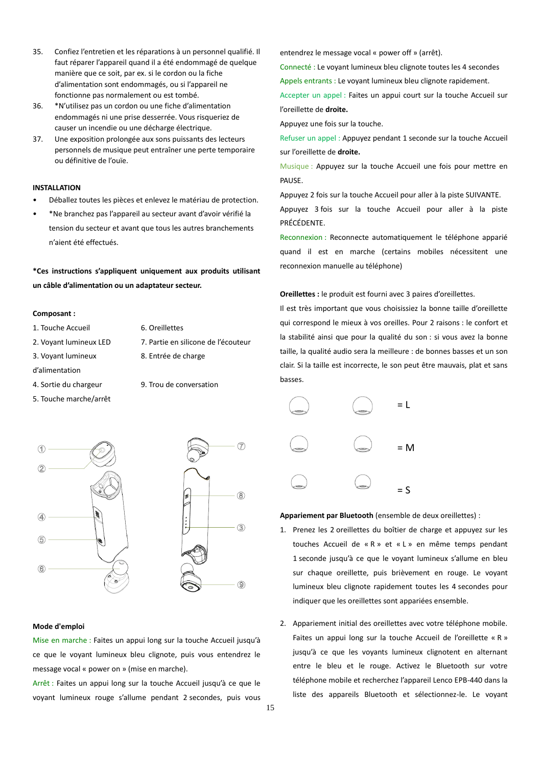- 35. Confiez l'entretien et les réparations à un personnel qualifié. Il faut réparer l'appareil quand il a été endommagé de quelque manière que ce soit, par ex. si le cordon ou la fiche d'alimentation sont endommagés, ou si l'appareil ne fonctionne pas normalement ou est tombé.
- 36. \*N'utilisez pas un cordon ou une fiche d'alimentation endommagés ni une prise desserrée. Vous risqueriez de causer un incendie ou une décharge électrique.
- 37. Une exposition prolongée aux sons puissants des lecteurs personnels de musique peut entraîner une perte temporaire ou définitive de l'ouïe.

# **INSTALLATION**

- Déballez toutes les pièces et enlevez le matériau de protection.
- \*Ne branchez pas l'appareil au secteur avant d'avoir vérifié la tension du secteur et avant que tous les autres branchements n'aient été effectués.

**\*Ces instructions s'appliquent uniquement aux produits utilisant un câble d'alimentation ou un adaptateur secteur.** 

### **Composant :**

- 
- 
- 3. Voyant lumineux
- d'alimentation
- 
- 5. Touche marche/arrêt
- 1. Touche Accueil 6. Oreillettes
- 2. Voyant lumineux LED 7. Partie en silicone de l'écouteur
	- 8. Entrée de charge
- 4. Sortie du chargeur 9. Trou de conversation



### **Mode d'emploi**

Mise en marche : Faites un appui long sur la touche Accueil jusqu'à ce que le voyant lumineux bleu clignote, puis vous entendrez le message vocal « power on » (mise en marche).

Arrêt : Faites un appui long sur la touche Accueil jusqu'à ce que le voyant lumineux rouge s'allume pendant 2 secondes, puis vous entendrez le message vocal « power off » (arrêt).

Connecté : Le voyant lumineux bleu clignote toutes les 4 secondes Appels entrants : Le voyant lumineux bleu clignote rapidement.

Accepter un appel : Faites un appui court sur la touche Accueil sur l'oreillette de **droite.**

Appuyez une fois sur la touche.

Refuser un appel : Appuyez pendant 1 seconde sur la touche Accueil sur l'oreillette de **droite.**

Musique : Appuyez sur la touche Accueil une fois pour mettre en PAUSE.

Appuyez 2 fois sur la touche Accueil pour aller à la piste SUIVANTE.

Appuyez 3 fois sur la touche Accueil pour aller à la piste PRÉCÉDENTE.

Reconnexion : Reconnecte automatiquement le téléphone apparié quand il est en marche (certains mobiles nécessitent une reconnexion manuelle au téléphone)

**Oreillettes :** le produit est fourni avec 3 paires d'oreillettes.

Il est très important que vous choisissiez la bonne taille d'oreillette qui correspond le mieux à vos oreilles. Pour 2 raisons : le confort et la stabilité ainsi que pour la qualité du son : si vous avez la bonne taille, la qualité audio sera la meilleure : de bonnes basses et un son clair. Si la taille est incorrecte, le son peut être mauvais, plat et sans basses.



**Appariement par Bluetooth** (ensemble de deux oreillettes) :

- 1. Prenez les 2 oreillettes du boîtier de charge et appuyez sur les touches Accueil de « R » et « L » en même temps pendant 1 seconde jusqu'à ce que le voyant lumineux s'allume en bleu sur chaque oreillette, puis brièvement en rouge. Le voyant lumineux bleu clignote rapidement toutes les 4 secondes pour indiquer que les oreillettes sont appariées ensemble.
- 2. Appariement initial des oreillettes avec votre téléphone mobile. Faites un appui long sur la touche Accueil de l'oreillette « R » jusqu'à ce que les voyants lumineux clignotent en alternant entre le bleu et le rouge. Activez le Bluetooth sur votre téléphone mobile et recherchez l'appareil Lenco EPB-440 dans la liste des appareils Bluetooth et sélectionnez-le. Le voyant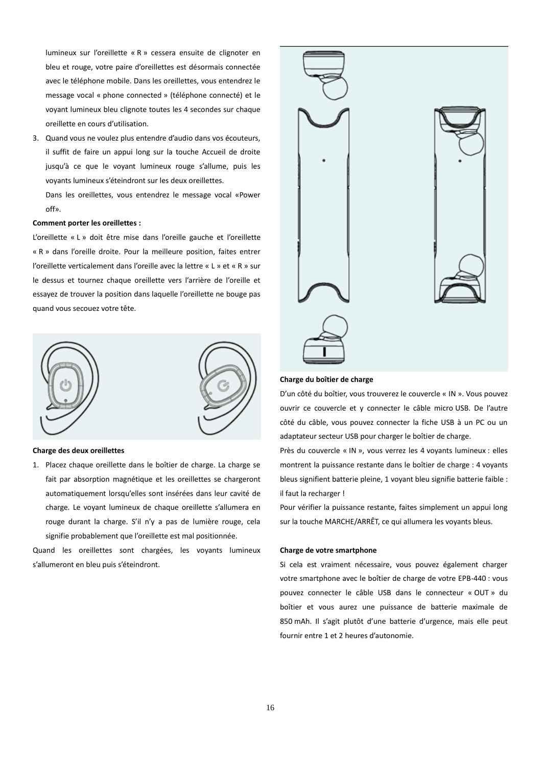lumineux sur l'oreillette « R » cessera ensuite de clignoter en bleu et rouge, votre paire d'oreillettes est désormais connectée avec le téléphone mobile. Dans les oreillettes, vous entendrez le message vocal « phone connected » (téléphone connecté) et le voyant lumineux bleu clignote toutes les 4 secondes sur chaque oreillette en cours d'utilisation.

3. Quand vous ne voulez plus entendre d'audio dans vos écouteurs, il suffit de faire un appui long sur la touche Accueil de droite jusqu'à ce que le voyant lumineux rouge s'allume, puis les voyants lumineux s'éteindront sur les deux oreillettes.

Dans les oreillettes, vous entendrez le message vocal «Power off».

### **Comment porter les oreillettes :**

L'oreillette « L » doit être mise dans l'oreille gauche et l'oreillette « R » dans l'oreille droite. Pour la meilleure position, faites entrer l'oreillette verticalement dans l'oreille avec la lettre « L » et « R » sur le dessus et tournez chaque oreillette vers l'arrière de l'oreille et essayez de trouver la position dans laquelle l'oreillette ne bouge pas quand vous secouez votre tête.





#### **Charge des deux oreillettes**

1. Placez chaque oreillette dans le boîtier de charge. La charge se fait par absorption magnétique et les oreillettes se chargeront automatiquement lorsqu'elles sont insérées dans leur cavité de charge. Le voyant lumineux de chaque oreillette s'allumera en rouge durant la charge. S'il n'y a pas de lumière rouge, cela signifie probablement que l'oreillette est mal positionnée.

Quand les oreillettes sont chargées, les voyants lumineux s'allumeront en bleu puis s'éteindront.



### **Charge du boîtier de charge**

D'un côté du boîtier, vous trouverez le couvercle « IN ». Vous pouvez ouvrir ce couvercle et y connecter le câble micro USB. De l'autre côté du câble, vous pouvez connecter la fiche USB à un PC ou un adaptateur secteur USB pour charger le boîtier de charge.

Près du couvercle « IN », vous verrez les 4 voyants lumineux : elles montrent la puissance restante dans le boîtier de charge : 4 voyants bleus signifient batterie pleine, 1 voyant bleu signifie batterie faible : il faut la recharger !

Pour vérifier la puissance restante, faites simplement un appui long sur la touche MARCHE/ARRÊT, ce qui allumera les voyants bleus.

#### **Charge de votre smartphone**

Si cela est vraiment nécessaire, vous pouvez également charger votre smartphone avec le boîtier de charge de votre EPB-440 : vous pouvez connecter le câble USB dans le connecteur « OUT » du boîtier et vous aurez une puissance de batterie maximale de 850 mAh. Il s'agit plutôt d'une batterie d'urgence, mais elle peut fournir entre 1 et 2 heures d'autonomie.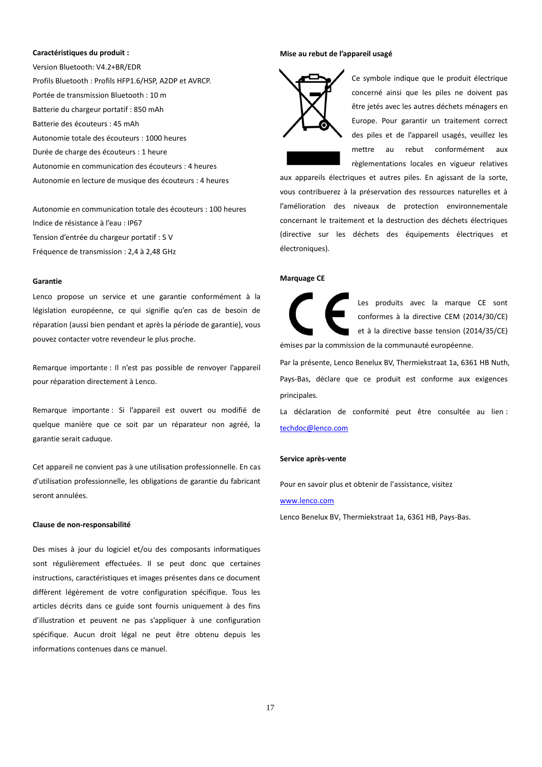#### **Caractéristiques du produit :**

Version Bluetooth: V4.2+BR/EDR Profils Bluetooth : Profils HFP1.6/HSP, A2DP et AVRCP. Portée de transmission Bluetooth : 10 m Batterie du chargeur portatif : 850 mAh Batterie des écouteurs : 45 mAh Autonomie totale des écouteurs : 1000 heures Durée de charge des écouteurs : 1 heure Autonomie en communication des écouteurs : 4 heures Autonomie en lecture de musique des écouteurs : 4 heures

Autonomie en communication totale des écouteurs : 100 heures Indice de résistance à l'eau : IP67 Tension d'entrée du chargeur portatif : 5 V Fréquence de transmission : 2,4 à 2,48 GHz

#### **Garantie**

Lenco propose un service et une garantie conformément à la législation européenne, ce qui signifie qu'en cas de besoin de réparation (aussi bien pendant et après la période de garantie), vous pouvez contacter votre revendeur le plus proche.

Remarque importante : Il n'est pas possible de renvoyer l'appareil pour réparation directement à Lenco.

Remarque importante : Si l'appareil est ouvert ou modifié de quelque manière que ce soit par un réparateur non agréé, la garantie serait caduque.

Cet appareil ne convient pas à une utilisation professionnelle. En cas d'utilisation professionnelle, les obligations de garantie du fabricant seront annulées.

### **Clause de non-responsabilité**

Des mises à jour du logiciel et/ou des composants informatiques sont régulièrement effectuées. Il se peut donc que certaines instructions, caractéristiques et images présentes dans ce document diffèrent légèrement de votre configuration spécifique. Tous les articles décrits dans ce guide sont fournis uniquement à des fins d'illustration et peuvent ne pas s'appliquer à une configuration spécifique. Aucun droit légal ne peut être obtenu depuis les informations contenues dans ce manuel.

### **Mise au rebut de l'appareil usagé**



Ce symbole indique que le produit électrique concerné ainsi que les piles ne doivent pas être jetés avec les autres déchets ménagers en Europe. Pour garantir un traitement correct des piles et de l'appareil usagés, veuillez les mettre au rebut conformément aux règlementations locales en vigueur relatives

aux appareils électriques et autres piles. En agissant de la sorte, vous contribuerez à la préservation des ressources naturelles et à l'amélioration des niveaux de protection environnementale concernant le traitement et la destruction des déchets électriques (directive sur les déchets des équipements électriques et électroniques).

#### **Marquage CE**

Les produits avec la marque CE sont conformes à la directive CEM (2014/30/CE) et à la directive basse tension (2014/35/CE) émises par la commission de la communauté européenne.

Par la présente, Lenco Benelux BV, Thermiekstraat 1a, 6361 HB Nuth, Pays-Bas, déclare que ce produit est conforme aux exigences principales.

La déclaration de conformité peut être consultée au lien : [techdoc@lenco.com](mailto:techdoc@lenco.com)

#### **Service après-vente**

Pour en savoir plus et obtenir de l'assistance, visitez

### [www.lenco.com](http://www.lenco.com/)

Lenco Benelux BV, Thermiekstraat 1a, 6361 HB, Pays-Bas.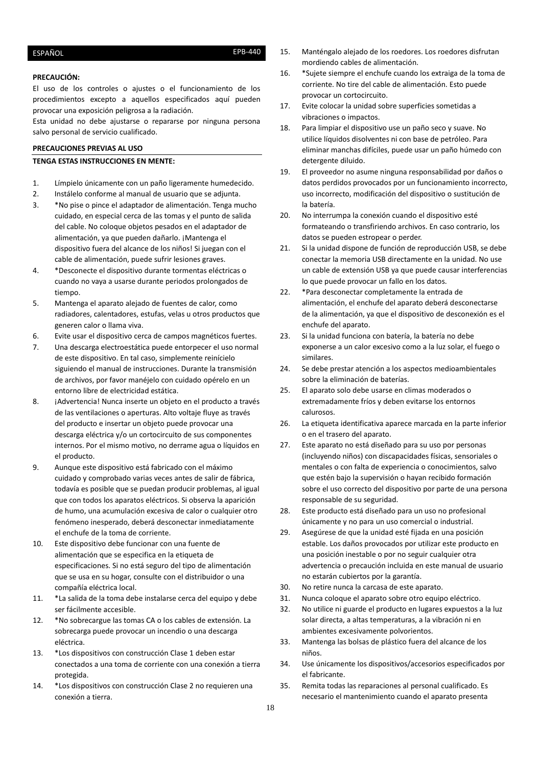# <span id="page-17-0"></span>ESPAÑOL ESPAÑOL

### **PRECAUCIÓN:**

El uso de los controles o ajustes o el funcionamiento de los procedimientos excepto a aquellos especificados aquí pueden provocar una exposición peligrosa a la radiación.

Esta unidad no debe ajustarse o repararse por ninguna persona salvo personal de servicio cualificado.

## **PRECAUCIONES PREVIAS AL USO**

### **TENGA ESTAS INSTRUCCIONES EN MENTE:**

- 1. Límpielo únicamente con un paño ligeramente humedecido.
- 2. Instálelo conforme al manual de usuario que se adjunta.
- 3. \*No pise o pince el adaptador de alimentación. Tenga mucho cuidado, en especial cerca de las tomas y el punto de salida del cable. No coloque objetos pesados en el adaptador de alimentación, ya que pueden dañarlo. ¡Mantenga el dispositivo fuera del alcance de los niños! Si juegan con el cable de alimentación, puede sufrir lesiones graves.
- 4. \*Desconecte el dispositivo durante tormentas eléctricas o cuando no vaya a usarse durante periodos prolongados de tiempo.
- 5. Mantenga el aparato alejado de fuentes de calor, como radiadores, calentadores, estufas, velas u otros productos que generen calor o llama viva.
- 6. Evite usar el dispositivo cerca de campos magnéticos fuertes.
- 7. Una descarga electroestática puede entorpecer el uso normal de este dispositivo. En tal caso, simplemente reinícielo siguiendo el manual de instrucciones. Durante la transmisión de archivos, por favor manéjelo con cuidado opérelo en un entorno libre de electricidad estática.
- 8. ¡Advertencia! Nunca inserte un objeto en el producto a través de las ventilaciones o aperturas. Alto voltaje fluye as través del producto e insertar un objeto puede provocar una descarga eléctrica y/o un cortocircuito de sus componentes internos. Por el mismo motivo, no derrame agua o líquidos en el producto.
- 9. Aunque este dispositivo está fabricado con el máximo cuidado y comprobado varias veces antes de salir de fábrica, todavía es posible que se puedan producir problemas, al igual que con todos los aparatos eléctricos. Si observa la aparición de humo, una acumulación excesiva de calor o cualquier otro fenómeno inesperado, deberá desconectar inmediatamente el enchufe de la toma de corriente.
- 10. Este dispositivo debe funcionar con una fuente de alimentación que se especifica en la etiqueta de especificaciones. Si no está seguro del tipo de alimentación que se usa en su hogar, consulte con el distribuidor o una compañía eléctrica local.
- 11. \*La salida de la toma debe instalarse cerca del equipo y debe ser fácilmente accesible.
- 12. \*No sobrecargue las tomas CA o los cables de extensión. La sobrecarga puede provocar un incendio o una descarga eléctrica.
- 13. \*Los dispositivos con construcción Clase 1 deben estar conectados a una toma de corriente con una conexión a tierra protegida.
- 14. \*Los dispositivos con construcción Clase 2 no requieren una conexión a tierra.
- 15. Manténgalo alejado de los roedores. Los roedores disfrutan mordiendo cables de alimentación.
- 16. \*Sujete siempre el enchufe cuando los extraiga de la toma de corriente. No tire del cable de alimentación. Esto puede provocar un cortocircuito.
- 17. Evite colocar la unidad sobre superficies sometidas a vibraciones o impactos.
- 18. Para limpiar el dispositivo use un paño seco y suave. No utilice líquidos disolventes ni con base de petróleo. Para eliminar manchas difíciles, puede usar un paño húmedo con detergente diluido.
- 19. El proveedor no asume ninguna responsabilidad por daños o datos perdidos provocados por un funcionamiento incorrecto, uso incorrecto, modificación del dispositivo o sustitución de la batería.
- 20. No interrumpa la conexión cuando el dispositivo esté formateando o transfiriendo archivos. En caso contrario, los datos se pueden estropear o perder.
- 21. Si la unidad dispone de función de reproducción USB, se debe conectar la memoria USB directamente en la unidad. No use un cable de extensión USB ya que puede causar interferencias lo que puede provocar un fallo en los datos.
- 22. \*Para desconectar completamente la entrada de alimentación, el enchufe del aparato deberá desconectarse de la alimentación, ya que el dispositivo de desconexión es el enchufe del aparato.
- 23. Si la unidad funciona con batería, la batería no debe exponerse a un calor excesivo como a la luz solar, el fuego o similares.
- 24. Se debe prestar atención a los aspectos medioambientales sobre la eliminación de baterías.
- 25. El aparato solo debe usarse en climas moderados o extremadamente fríos y deben evitarse los entornos calurosos.
- 26. La etiqueta identificativa aparece marcada en la parte inferior o en el trasero del aparato.
- 27. Este aparato no está diseñado para su uso por personas (incluyendo niños) con discapacidades físicas, sensoriales o mentales o con falta de experiencia o conocimientos, salvo que estén bajo la supervisión o hayan recibido formación sobre el uso correcto del dispositivo por parte de una persona responsable de su seguridad.
- 28. Este producto está diseñado para un uso no profesional únicamente y no para un uso comercial o industrial.
- 29. Asegúrese de que la unidad esté fijada en una posición estable. Los daños provocados por utilizar este producto en una posición inestable o por no seguir cualquier otra advertencia o precaución incluida en este manual de usuario no estarán cubiertos por la garantía.
- 30. No retire nunca la carcasa de este aparato.
- 31. Nunca coloque el aparato sobre otro equipo eléctrico.
- 32. No utilice ni guarde el producto en lugares expuestos a la luz solar directa, a altas temperaturas, a la vibración ni en ambientes excesivamente polvorientos.
- 33. Mantenga las bolsas de plástico fuera del alcance de los niños.
- 34. Use únicamente los dispositivos/accesorios especificados por el fabricante.
- 35. Remita todas las reparaciones al personal cualificado. Es necesario el mantenimiento cuando el aparato presenta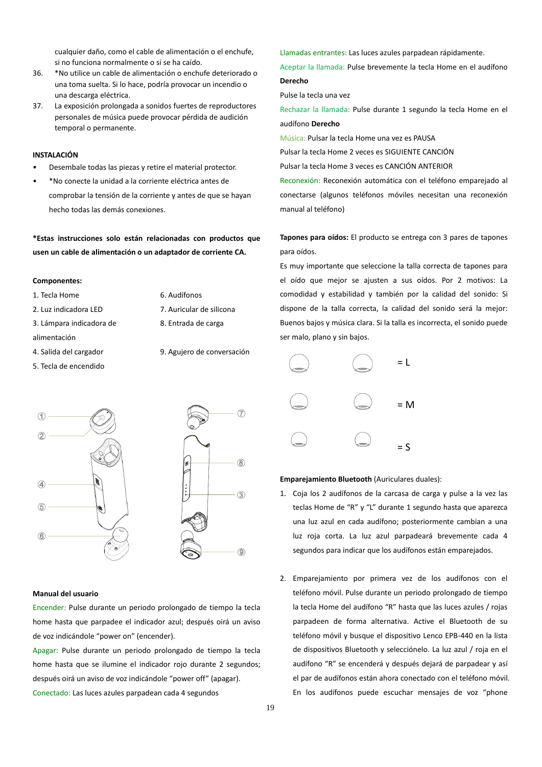cualquier daño, como el cable de alimentación o el enchufe, si no funciona normalmente o si se ha caído.

- 36. \*No utilice un cable de alimentación o enchufe deteriorado o una toma suelta. Si lo hace, podría provocar un incendio o una descarga eléctrica.
- 37. La exposición prolongada a sonidos fuertes de reproductores personales de música puede provocar pérdida de audición temporal o permanente.

# **INSTALACIÓN**

- Desembale todas las piezas y retire el material protector.
- \*No conecte la unidad a la corriente eléctrica antes de comprobar la tensión de la corriente y antes de que se hayan hecho todas las demás conexiones.

**\*Estas instrucciones solo están relacionadas con productos que usen un cable de alimentación o un adaptador de corriente CA.** 

### **Componentes:**

- 1. Tecla Home 6. Audífonos
- 2. Luz indicadora LED 7. Auricular de silicona
- 3. Lámpara indicadora de
- alimentación
- 
- 
- 8. Entrada de carga
- 
- 5. Tecla de encendido
- 
- 4. Salida del cargador 9. Agujero de conversación



### **Manual del usuario**

Encender: Pulse durante un periodo prolongado de tiempo la tecla home hasta que parpadee el indicador azul; después oirá un aviso de voz indicándole "power on" (encender).

Apagar: Pulse durante un periodo prolongado de tiempo la tecla home hasta que se ilumine el indicador rojo durante 2 segundos; después oirá un aviso de voz indicándole "power off" (apagar). Conectado: Las luces azules parpadean cada 4 segundos

Llamadas entrantes: Las luces azules parpadean rápidamente.

Aceptar la llamada: Pulse brevemente la tecla Home en el audífono **Derecho**

Pulse la tecla una vez

Rechazar la llamada: Pulse durante 1 segundo la tecla Home en el audífono **Derecho**

Música: Pulsar la tecla Home una vez es PAUSA

Pulsar la tecla Home 2 veces es SIGUIENTE CANCIÓN

Pulsar la tecla Home 3 veces es CANCIÓN ANTERIOR

Reconexión: Reconexión automática con el teléfono emparejado al conectarse (algunos teléfonos móviles necesitan una reconexión manual al teléfono)

**Tapones para oídos:** El producto se entrega con 3 pares de tapones para oídos.

Es muy importante que seleccione la talla correcta de tapones para el oído que mejor se ajusten a sus oídos. Por 2 motivos: La comodidad y estabilidad y también por la calidad del sonido: Si dispone de la talla correcta, la calidad del sonido será la mejor: Buenos bajos y música clara. Si la talla es incorrecta, el sonido puede ser malo, plano y sin bajos.



# **Emparejamiento Bluetooth** (Auriculares duales):

- 1. Coja los 2 audífonos de la carcasa de carga y pulse a la vez las teclas Home de "R" y "L" durante 1 segundo hasta que aparezca una luz azul en cada audífono; posteriormente cambian a una luz roja corta. La luz azul parpadeará brevemente cada 4 segundos para indicar que los audífonos están emparejados.
- 2. Emparejamiento por primera vez de los audífonos con el teléfono móvil. Pulse durante un periodo prolongado de tiempo la tecla Home del audífono "R" hasta que las luces azules / rojas parpadeen de forma alternativa. Active el Bluetooth de su teléfono móvil y busque el dispositivo Lenco EPB-440 en la lista de dispositivos Bluetooth y selecciónelo. La luz azul / roja en el audífono "R" se encenderá y después dejará de parpadear y así el par de audífonos están ahora conectado con el teléfono móvil. En los audífonos puede escuchar mensajes de voz "phone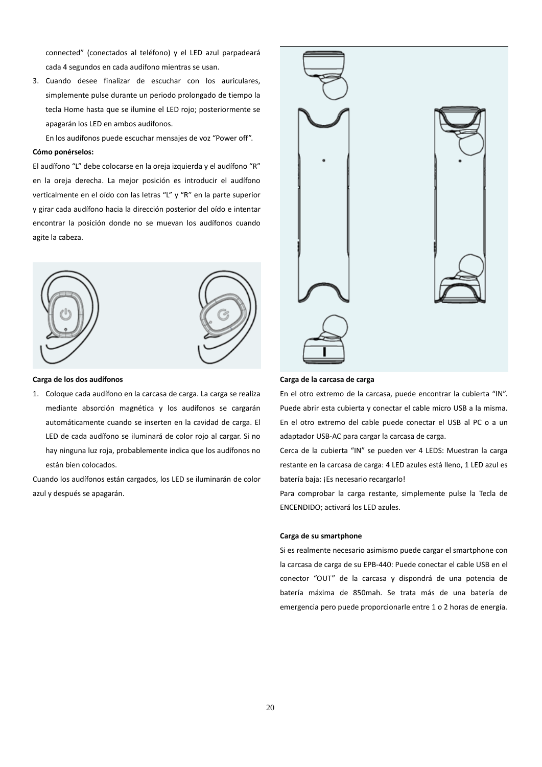connected" (conectados al teléfono) y el LED azul parpadeará cada 4 segundos en cada audífono mientras se usan.

3. Cuando desee finalizar de escuchar con los auriculares, simplemente pulse durante un periodo prolongado de tiempo la tecla Home hasta que se ilumine el LED rojo; posteriormente se apagarán los LED en ambos audífonos.

En los audífonos puede escuchar mensajes de voz "Power off".

#### **Cómo ponérselos:**

El audífono "L" debe colocarse en la oreja izquierda y el audífono "R" en la oreja derecha. La mejor posición es introducir el audífono verticalmente en el oído con las letras "L" y "R" en la parte superior y girar cada audífono hacia la dirección posterior del oído e intentar encontrar la posición donde no se muevan los audífonos cuando agite la cabeza.



#### **Carga de los dos audífonos**

1. Coloque cada audífono en la carcasa de carga. La carga se realiza mediante absorción magnética y los audífonos se cargarán automáticamente cuando se inserten en la cavidad de carga. El LED de cada audífono se iluminará de color rojo al cargar. Si no hay ninguna luz roja, probablemente indica que los audífonos no están bien colocados.

Cuando los audífonos están cargados, los LED se iluminarán de color azul y después se apagarán.



### **Carga de la carcasa de carga**

En el otro extremo de la carcasa, puede encontrar la cubierta "IN". Puede abrir esta cubierta y conectar el cable micro USB a la misma. En el otro extremo del cable puede conectar el USB al PC o a un adaptador USB-AC para cargar la carcasa de carga.

Cerca de la cubierta "IN" se pueden ver 4 LEDS: Muestran la carga restante en la carcasa de carga: 4 LED azules está lleno, 1 LED azul es batería baja: ¡Es necesario recargarlo!

Para comprobar la carga restante, simplemente pulse la Tecla de ENCENDIDO; activará los LED azules.

### **Carga de su smartphone**

Si es realmente necesario asimismo puede cargar el smartphone con la carcasa de carga de su EPB-440: Puede conectar el cable USB en el conector "OUT" de la carcasa y dispondrá de una potencia de batería máxima de 850mah. Se trata más de una batería de emergencia pero puede proporcionarle entre 1 o 2 horas de energía.